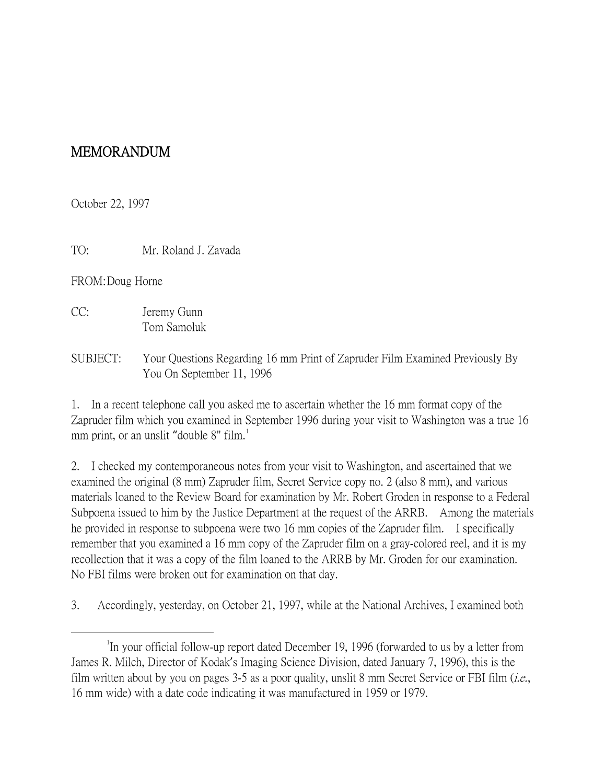## MEMORANDUM

October 22, 1997

TO: Mr. Roland J. Zavada

FROM:Doug Horne

- CC: Jeremy Gunn Tom Samoluk
- SUBJECT: Your Questions Regarding 16 mm Print of Zapruder Film Examined Previously By You On September 11, 1996

1. In a recent telephone call you asked me to ascertain whether the 16 mm format copy of the Zapruder film which you examined in September 1996 during your visit to Washington was a true 16 mm print, or an unslit "double 8" film.<sup>[1](#page-0-0)</sup>

2. I checked my contemporaneous notes from your visit to Washington, and ascertained that we examined the original (8 mm) Zapruder film, Secret Service copy no. 2 (also 8 mm), and various materials loaned to the Review Board for examination by Mr. Robert Groden in response to a Federal Subpoena issued to him by the Justice Department at the request of the ARRB. Among the materials he provided in response to subpoena were two 16 mm copies of the Zapruder film. I specifically remember that you examined a 16 mm copy of the Zapruder film on a gray-colored reel, and it is my recollection that it was a copy of the film loaned to the ARRB by Mr. Groden for our examination. No FBI films were broken out for examination on that day.

3. Accordingly, yesterday, on October 21, 1997, while at the National Archives, I examined both

<span id="page-0-0"></span> $\overline{\phantom{a}}$ In your official follow-up report dated December 19, 1996 (forwarded to us by a letter from James R. Milch, Director of Kodak's Imaging Science Division, dated January 7, 1996), this is the film written about by you on pages 3-5 as a poor quality, unslit 8 mm Secret Service or FBI film (*i.e.*, 16 mm wide) with a date code indicating it was manufactured in 1959 or 1979.